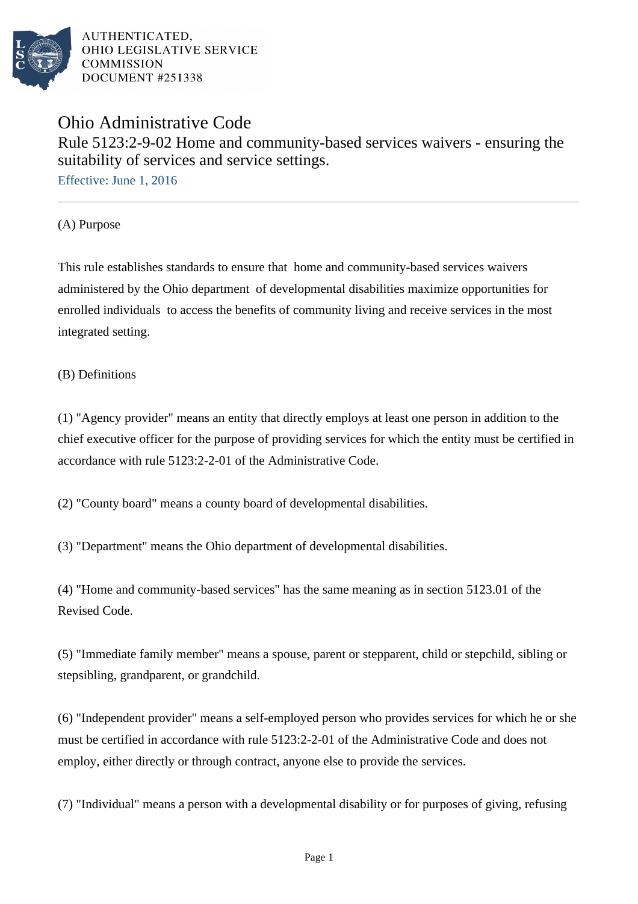

# Ohio Administrative Code Rule 5123:2-9-02 Home and community-based services waivers - ensuring the suitability of services and service settings.

Effective: June 1, 2016

(A) Purpose

This rule establishes standards to ensure that home and community-based services waivers administered by the Ohio department of developmental disabilities maximize opportunities for enrolled individuals to access the benefits of community living and receive services in the most integrated setting.

## (B) Definitions

(1) "Agency provider" means an entity that directly employs at least one person in addition to the chief executive officer for the purpose of providing services for which the entity must be certified in accordance with rule 5123:2-2-01 of the Administrative Code.

(2) "County board" means a county board of developmental disabilities.

(3) "Department" means the Ohio department of developmental disabilities.

 $(4)$  "Home and community-based services" has the same meaning as in section 5123.01 of the Revised Code.

(5) "Immediate family member" means a spouse, parent or stepparent, child or stepchild, sibling or stepsibling, grandparent, or grandchild.

 $(6)$  "Independent provider" means a self-employed person who provides services for which he or she must be certified in accordance with rule 5123:2-2-01 of the Administrative Code and does not employ, either directly or through contract, anyone else to provide the services.

(7) "Individual" means a person with a developmental disability or for purposes of giving, refusing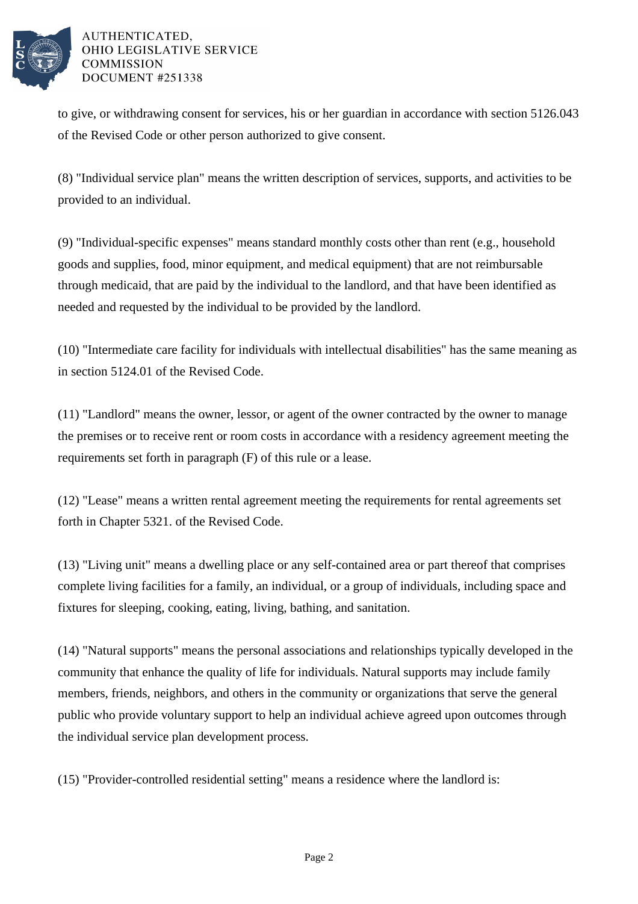

to give, or withdrawing consent for services, his or her guardian in accordance with section 5126.043 of the Revised Code or other person authorized to give consent.

(8) "Individual service plan" means the written description of services, supports, and activities to be provided to an individual.

 $(9)$  "Individual-specific expenses" means standard monthly costs other than rent (e.g., household goods and supplies, food, minor equipment, and medical equipment) that are not reimbursable through medicaid, that are paid by the individual to the landlord, and that have been identified as needed and requested by the individual to be provided by the landlord.

(10) "Intermediate care facility for individuals with intellectual disabilities" has the same meaning as in section 5124.01 of the Revised Code.

 $(11)$  "Landlord" means the owner, lessor, or agent of the owner contracted by the owner to manage the premises or to receive rent or room costs in accordance with a residency agreement meeting the requirements set forth in paragraph (F) of this rule or a lease.

 $(12)$  "Lease" means a written rental agreement meeting the requirements for rental agreements set forth in Chapter 5321. of the Revised Code.

(13) "Living unit" means a dwelling place or any self-contained area or part thereof that comprises complete living facilities for a family, an individual, or a group of individuals, including space and fixtures for sleeping, cooking, eating, living, bathing, and sanitation.

(14) "Natural supports" means the personal associations and relationships typically developed in the community that enhance the quality of life for individuals. Natural supports may include family members, friends, neighbors, and others in the community or organizations that serve the general public who provide voluntary support to help an individual achieve agreed upon outcomes through the individual service plan development process.

(15) "Provider-controlled residential setting" means a residence where the landlord is: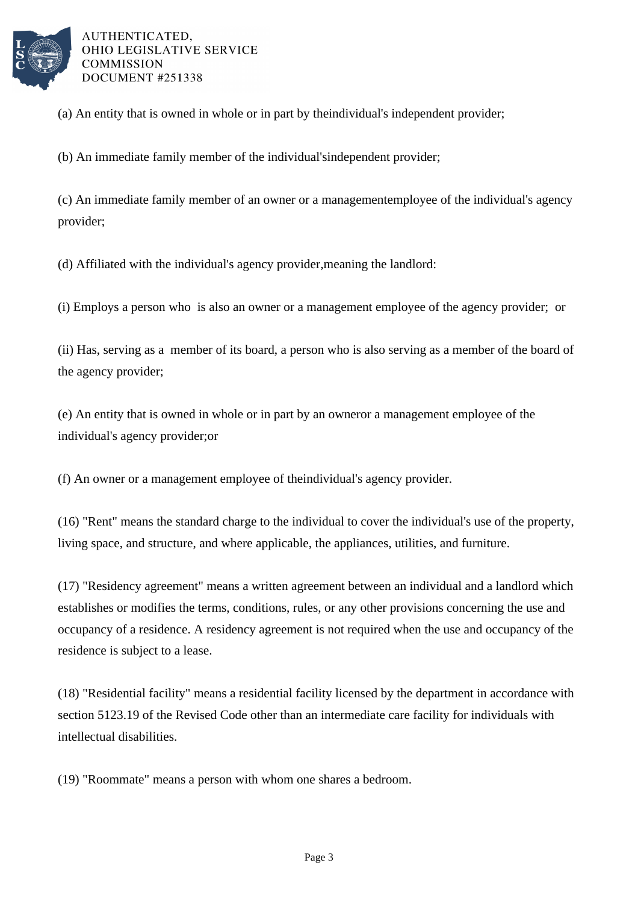

(a) An entity that is owned in whole or in part by the  $\cdot$  individual's independent provider;

(b) An immediate family member of the individual's independent provider;

(c) An immediate family member of an owner or a management employee of the individual's agency provider;

(d) Affiliated with the individual's agency provider, meaning the landlord:

(i) Employs a person who is also an owner or a management employee of the agency provider; or

(ii) Has, serving as a member of its board, a person who is also serving as a member of the board of the agency provider;

(e) An entity that is owned in whole or in part by an owner or a management employee of the individual's agency provider; or

(f) An owner or a management employee of the individual's agency provider.

(16) "Rent" means the standard charge to the individual to cover the individual's use of the property, living space, and structure, and where applicable, the appliances, utilities, and furniture.

(17) "Residency agreement" means a written agreement between an individual and a landlord which establishes or modifies the terms, conditions, rules, or any other provisions concerning the use and occupancy of a residence. A residency agreement is not required when the use and occupancy of the residence is subject to a lease.

(18) "Residential facility" means a residential facility licensed by the department in accordance with section 5123.19 of the Revised Code other than an intermediate care facility for individuals with intellectual disabilities.

(19) "Roommate" means a person with whom one shares a bedroom.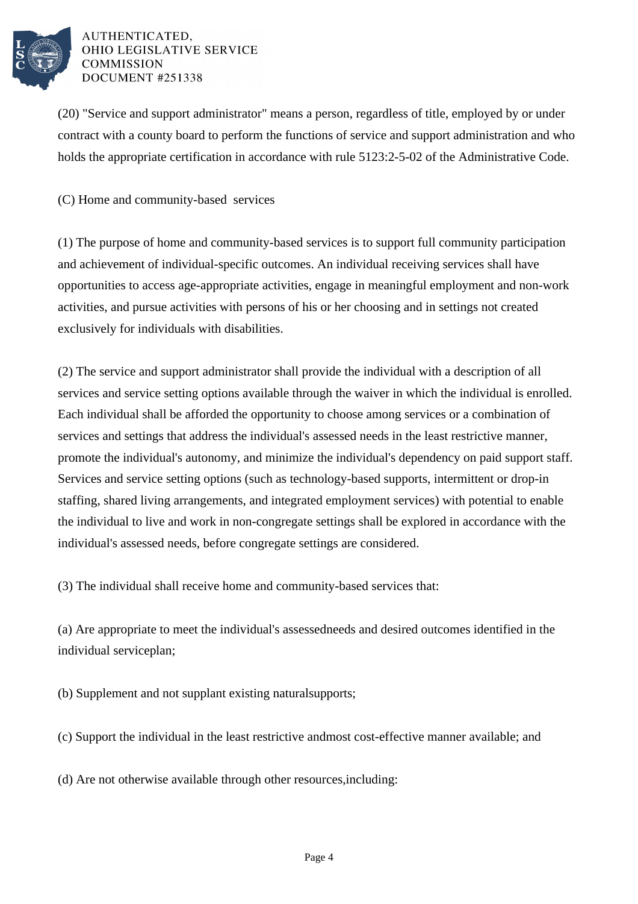

(20) "Service and support administrator" means a person, regardless of title, employed by or under contract with a county board to perform the functions of service and support administration and who holds the appropriate certification in accordance with rule 5123:2-5-02 of the Administrative Code.

(C) Home and community-based services

(1) The purpose of home and community-based services is to support full community participation and achievement of individual-specific outcomes. An individual receiving services shall have opportunities to access age-appropriate activities, engage in meaningful employment and non-work activities, and pursue activities with persons of his or her choosing and in settings not created exclusively for individuals with disabilities.

(2) The service and support administrator shall provide the individual with a description of all services and service setting options available through the waiver in which the individual is enrolled. Each individual shall be afforded the opportunity to choose among services or a combination of services and settings that address the individual's assessed needs in the least restrictive manner, promote the individual's autonomy, and minimize the individual's dependency on paid support staff. Services and service setting options (such as technology-based supports, intermittent or drop-in staffing, shared living arrangements, and integrated employment services) with potential to enable the individual to live and work in non-congregate settings shall be explored in accordance with the individual's assessed needs, before congregate settings are considered.

(3) The individual shall receive home and community-based services that:

(a) Are appropriate to meet the individual's assessed needs and desired outcomes identified in the individual service plan;

(b) Supplement and not supplant existing natural supports;

(c) Support the individual in the least restrictive and most cost-effective manner available; and

(d) Are not otherwise available through other resources, including: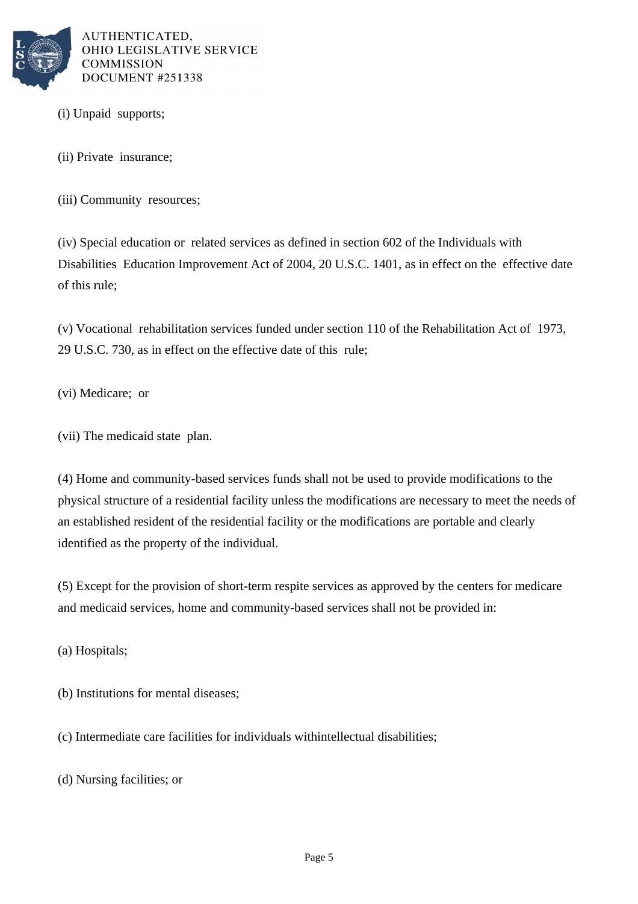

(i) Unpaid supports;

(ii) Private insurance;

(iii) Community resources:

(iv) Special education or related services as defined in section 602 of the Individuals with Disabilities Education Improvement Act of 2004, 20 U.S.C. 1401, as in effect on the effective date of this rule;

(v) Vocational rehabilitation services funded under section 110 of the Rehabilitation Act of  $1973$ , 29 U.S.C. 730, as in effect on the effective date of this rule;

(vi) Medicare; or

(vii) The medicaid state plan.

(4) Home and community-based services funds shall not be used to provide modifications to the physical structure of a residential facility unless the modifications are necessary to meet the needs of an established resident of the residential facility or the modifications are portable and clearly identified as the property of the individual.

(5) Except for the provision of short-term respite services as approved by the centers for medicare and medicaid services, home and community-based services shall not be provided in:

(a) Hospitals;

(b) Institutions for mental diseases;

(c) Intermediate care facilities for individuals with intellectual disabilities;

(d) Nursing facilities; or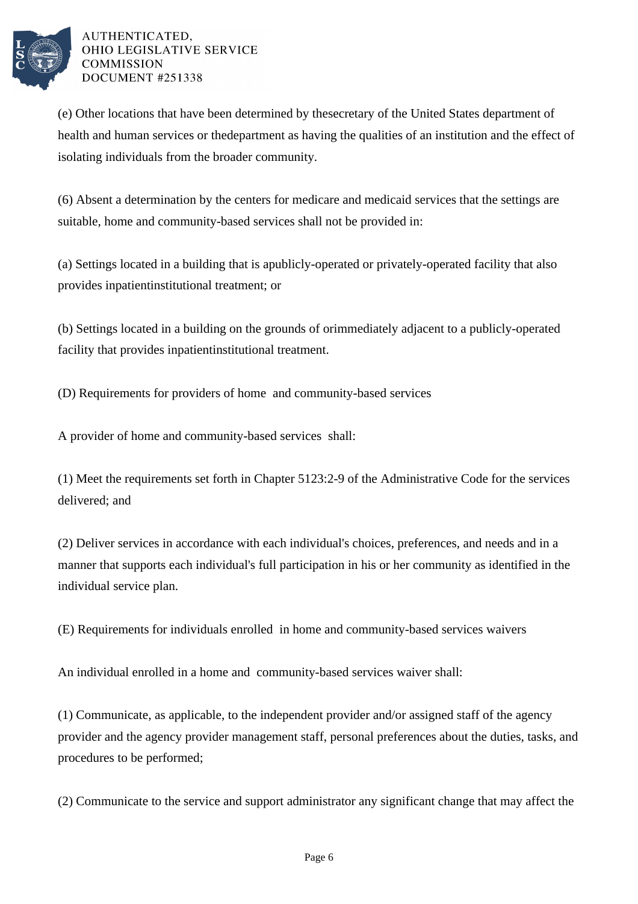

(e) Other locations that have been determined by the secretary of the United States department of health and human services or the department as having the qualities of an institution and the effect of isolating individuals from the broader community.

(6) Absent a determination by the centers for medicare and medicaid services that the settings are suitable, home and community-based services shall not be provided in:

(a) Settings located in a building that is a publicly-operated or privately-operated facility that also provides inpatient institutional treatment; or

(b) Settings located in a building on the grounds of or immediately adjacent to a publicly-operated facility that provides inpatient institutional treatment.

(D) Requirements for providers of home and community-based services

A provider of home and community-based services shall:

(1) Meet the requirements set forth in Chapter 5123:2-9 of the Administrative Code for the services delivered; and

(2) Deliver services in accordance with each individual's choices, preferences, and needs and in a manner that supports each individual's full participation in his or her community as identified in the individual service plan.

(E) Requirements for individuals enrolled in home and community-based services waivers

An individual enrolled in a home and community-based services waiver shall:

(1) Communicate, as applicable, to the independent provider and/or assigned staff of the agency provider and the agency provider management staff, personal preferences about the duties, tasks, and procedures to be performed;

(2) Communicate to the service and support administrator any significant change that may affect the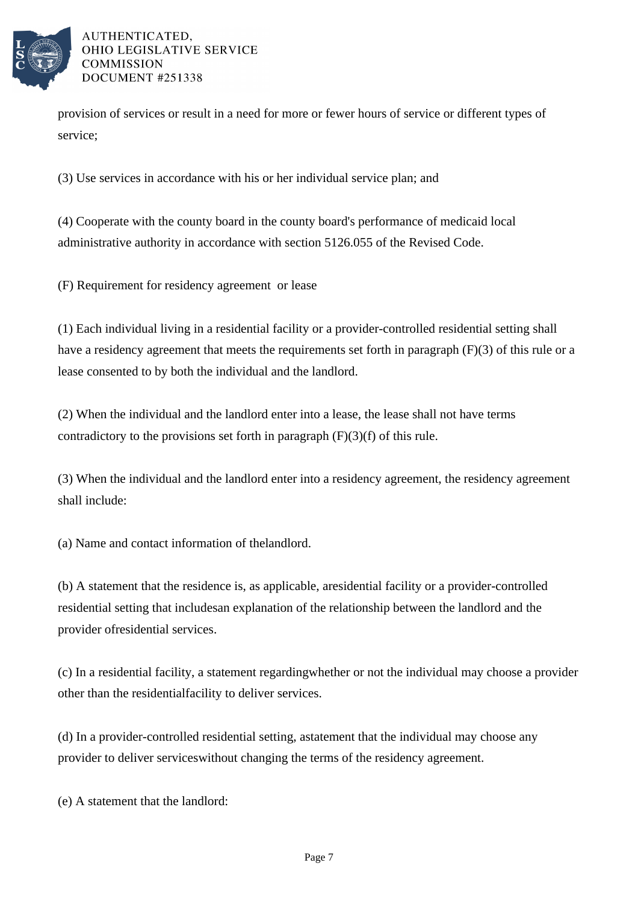

provision of services or result in a need for more or fewer hours of service or different types of service;

(3) Use services in accordance with his or her individual service plan; and

(4) Cooperate with the county board in the county board's performance of medicaid local administrative authority in accordance with section 5126.055 of the Revised Code.

(F) Requirement for residency agreement or lease

(1) Each individual living in a residential facility or a provider-controlled residential setting shall have a residency agreement that meets the requirements set forth in paragraph  $(F)(3)$  of this rule or a lease consented to by both the individual and the landlord.

(2) When the individual and the landlord enter into a lease, the lease shall not have terms contradictory to the provisions set forth in paragraph  $(F)(3)(f)$  of this rule.

(3) When the individual and the landlord enter into a residency agreement, the residency agreement shall include:

(a) Name and contact information of the landlord.

(b) A statement that the residence is, as applicable, a residential facility or a provider-controlled residential setting that includes an explanation of the relationship between the landlord and the provider of residential services.

(c) In a residential facility, a statement regarding whether or not the individual may choose a provider other than the residential facility to deliver services.

(d) In a provider-controlled residential setting, a statement that the individual may choose any provider to deliver services without changing the terms of the residency agreement.

(e) A statement that the landlord: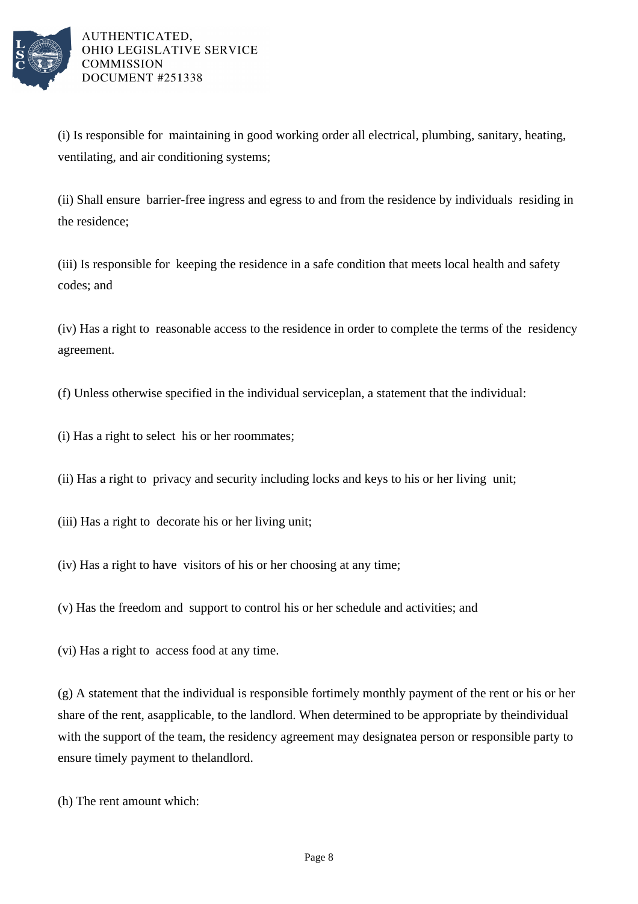

(i) Is responsible for maintaining in good working order all electrical, plumbing, sanitary, heating, ventilating, and air conditioning systems;

(ii) Shall ensure barrier-free ingress and egress to and from the residence by individuals residing in the residence;

(iii) Is responsible for keeping the residence in a safe condition that meets local health and safety codes; and

(iv) Has a right to reasonable access to the residence in order to complete the terms of the residency agreement.

(f) Unless otherwise specified in the individual service plan, a statement that the individual:

- (i) Has a right to select his or her roommates;
- (ii) Has a right to privacy and security including locks and keys to his or her living unit;
- (iii) Has a right to decorate his or her living unit;
- (iv) Has a right to have visitors of his or her choosing at any time;
- (v) Has the freedom and support to control his or her schedule and activities; and
- (vi) Has a right to access food at any time.

 $(g)$  A statement that the individual is responsible for timely monthly payment of the rent or his or her share of the rent, as applicable, to the landlord. When determined to be appropriate by the individual with the support of the team, the residency agreement may designate a person or responsible party to ensure timely payment to the landlord.

(h) The rent amount which: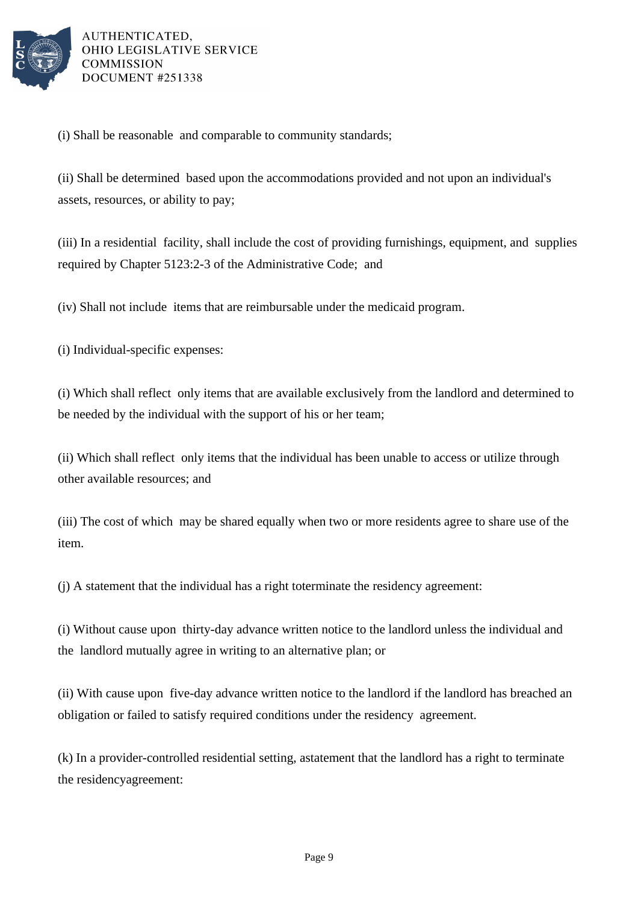

(i) Shall be reasonable and comparable to community standards;

(ii) Shall be determined based upon the accommodations provided and not upon an individual's assets, resources, or ability to pay;

(iii) In a residential facility, shall include the cost of providing furnishings, equipment, and supplies required by Chapter 5123:2-3 of the Administrative Code; and

(iv) Shall not include items that are reimbursable under the medicaid program.

(i) Individual-specific expenses:

(i) Which shall reflect only items that are available exclusively from the landlord and determined to be needed by the individual with the support of his or her team;

(ii) Which shall reflect only items that the individual has been unable to access or utilize through other available resources; and

(iii) The cost of which may be shared equally when two or more residents agree to share use of the item.

 $(i)$  A statement that the individual has a right to terminate the residency agreement:

(i) Without cause upon thirty-day advance written notice to the landlord unless the individual and the landlord mutually agree in writing to an alternative plan; or

(ii) With cause upon five-day advance written notice to the landlord if the landlord has breached an obligation or failed to satisfy required conditions under the residency agreement.

(k) In a provider-controlled residential setting, a statement that the landlord has a right to terminate the residency agreement: